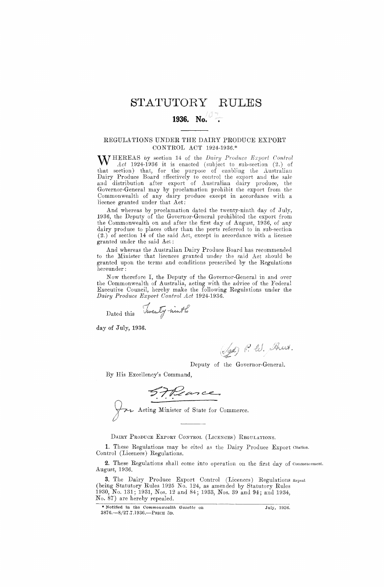## STATUTORY RUL

# **1936.** No.

#### REGULATIONS UNDER THE DAIRY PRODUCE EXPORT CONTROL ACT 1924-1936.\*

WHEREAS by section 14 of the *Dairy Produce Export Control Act* 1924-1936 it is enacted (subject to sub-section (2.) of that section) that, for the purpose of enabling the Australian Dairy Produce Board effectively to control the export and the sale and distribution after export of Australian dairy produce, the Governor-General may by proclamation prohibit the export from the Commonwealth of any dairy produce except in accordance with a licence granted under that Act:

And whereas by proclamation dated the twenty-ninth day of July, 1936, the Deputy of the Governor-General prohibited the export from the Commonwealth on and after the first day of August, 1936, of any dairy produce to places other than the ports referred to in sub-section (2.) of section 14 of the said Act, except in accordance with a licence granted under the said Act :

And whereas the Australian Dairy Produce Board has recommended to the Minister that licences granted under the said Act should be granted upon the terms and conditions prescribed by the Regulations hereunder :

Now therefore I, the Deputy of the Governor-General in and over the Commonwealth of Australia, acting with the advice of the Federal Executive Council, hereby make the following Regulations under the *Dairy Produce Export Control Act* 1924-1936.

Dated this

Twenty ninth

day of July, 1936.

(Sgd) P. W. Breet.

Deputy of the Governor-General.

By His Excellency's Command,

F. P. ance

DAIRY PRODUCE EXPORT CONTROL (LICENCES) REGULATIONS.

1. These Regulations may be cited as the Dairy Produce Export Citation. Control (Licences) Regulations.

2. These Regulations shall come into operation on the first day of Commencement. August, 1936.

3. The Dairy Produce Export Control (Licences) Regulations Repeal. (being Statutory Rules 1925 No. 124, as amended by Statutory Rules 1930, No. 131; 1931, Nos. 12 and 84; 1933, Nos. 39 and 94; and 1934, No. 87) are hereby repealed.

<sup>\*</sup> Notified in the *Commonwealth Gazette* on July, 1936. 3876.-3/27.7.1936.—PRicE So.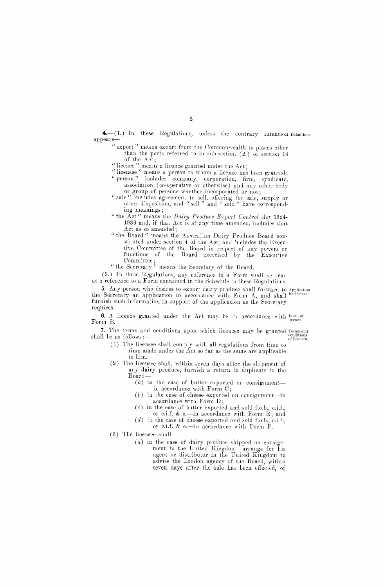4.-(1.) In these Regulations, unless the contrary intention Definitions. appears-

" export " means export from the Commonwealth to places other than the ports referred to in sub-section (2.) of section 14 of the Act;

" licence " means a licence granted under the Act;

" licensee " means a person to whom a licence has been granted; " person " includes company, corporation, firm, syndicate, association (co-operative or otherwise) and any other body

- or group of persons whether incorporated or not ; " sale " includes agreement to sell, offering for sale, supply or
- other disposition, and " sell " and " sold " have correspond ing meanings;
- " the Act " means the *Dairy Produce Export Control Act* 1924- 1936 and, if that Act is at any time amended, includes that Act as so amended;
- " the Board " means the Australian Dairy Produce Board con- .stituted under section 4 of the Act, and includes the Executive Committee of the Board in respect of any powers or functions of the Board exercised by the Executive Committee;
- " the Secretary" means the Secretary of the Board.

(2.) In these Regulations, any reference to a Form shall be read as a reference to a Form contained in the Schedule to these Regulations.

5. Any person who desires to export dairy produce shall forward to Application the Secretary an application in accordance with Form A, and shall for licence. furnish such information in support of the application as the Secretary requires.

6. A licence granted under the Act may be in accordance with  $\frac{1}{2}$  licence. Form B.

7. The terms and conditions upon which licences may be granted 7. The terms and conditions upon which licences may be granted Terms and shall be as follows :—

- (1) The licensee shall comply with all regulations from time to time made under the Act so far as the same are applicable to him.
- (2) The licensee shall, within seven days after the shipment of any dairy produce, furnish a return in duplicate to the Board—
	- (a) in the case of butter exported on consignment in accordance with Form C;
	- $(b)$  in the case of cheese exported on consignment-in accordance with Form D;
	- $(c)$  in the case of butter exported and sold f.o.b., c.i.f., or c.i.f. & e.-in accordance with Form  $E$ ; and
	- (d) in the case of cheese exported and sold f.o.b., c.i.f., or c.i.f. & e.—in accordance with Form F.
- (3) The licensee shall-
	- (a) in the case of dairy produce shipped on consignment to the United Kingdom—arrange for his agent or distributor in the United Kingdom to advise the London agency of the Board, within seven days after the sale has been effected, of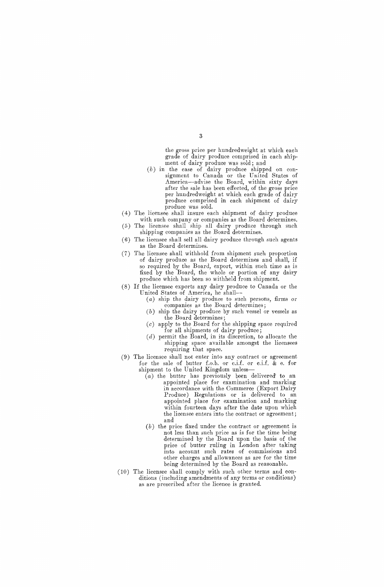the gross price per hundredweight at which each grade of dairy produce comprised in each shipment of dairy produce was sold; and

- *(b)* in the case of dairy produce shipped on consignment to Canada or the United States of America—advise the Board, within sixty days after the sale has been effected, of the gross price per hundredweight at which each grade of dairy produce comprised in each shipment of dairy produce was sold.
- (4) The licensee shall insure each shipment of dairy produce with such company or companies as the Board determines.
- (5) The licensee shall ship all dairy produce through such shipping companies as the Board determines
- (6) The licensee shall sell all dairy produce through such agents as the Board determines.
- (7) The licensee shall withhold from shipment such proportion of dairy produce as the Board determines and shall, if so required by the Board, export, within such time as is fixed by the Board, the whole or portion of any dairy produce which has been so withheld from shipment.
- (8) If the licensee exports any dairy produce to Canada or the United States of America, he shall—
	- (a) ship the dairy produce to such persons, firms or companies as the Board determines;
	- (b) ship the dairy produce by such vessel or vessels as the Board determines *;*
	- $(c)$  apply to the Board for the shipping space required for all shipments of dairy produce;
	- $(d)$  permit the Board, in its discretion, to allocate the shipping space available amongst the licensees requiring that space.
- (9) The licensee shall not enter into any contract or agreement for the sale of butter f.o.b. or c.i.f. or c.i.f.  $\&$  e. for shipment to the United Kingdom unless—
	- $(a)$  the butter has previously been delivered to an appointed place for examination and marking in accordance with the Commerce (Export Dairy Produce) Regulations or is delivered to an appointed place for examination and marking within fourteen days after the date upon which the licensee enters into the contract or agreement; and
	- (b) the price fixed under the contract or agreement is not less than such price as is for the time being determined by the Board upon the basis of the price of butter ruling in London after taking into account such rates of commissions and other charges and allowances as are for the time being determined by the Board as reasonable.
- (10) The licensee shall comply with such other terms and conditions (including amendments of any terms or conditions) as are prescribed after the licence is granted.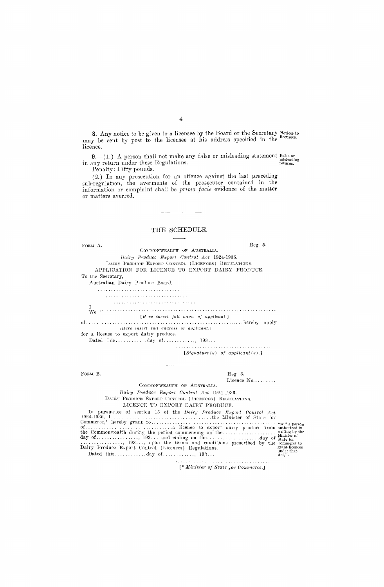8. Any notice to be given to a licensee by the Board or the Secretary 8. Any notice to be given to a licensee by the Board or the Secretary Notices to may be sent by post to the licensee at his address specified in the licensees. licence.

 $9$ .—(1.) A person shall not make any false or misleading statement False or now return under these Regulations. in any return under these Regulations.

Penalty: Fifty pounds.

(2.) In any prosecution for an offence against the last preceding sub-regulation, the averments of the prosecutor contained in the information or complaint shall be *prima facie* evidence of the matter or matters averred.

### THE SCHEDULE

| FORM A.<br>COMMONWEALTH OF AUSTRALIA.                                                                                                                                                                                                         | Reg. 5.              |                                                                         |
|-----------------------------------------------------------------------------------------------------------------------------------------------------------------------------------------------------------------------------------------------|----------------------|-------------------------------------------------------------------------|
| Dairy Produce Export Control Act 1924-1936.                                                                                                                                                                                                   |                      |                                                                         |
| DAIRY PRODUCE EXPORT CONTROL (LICENCES) REGULATIONS.                                                                                                                                                                                          |                      |                                                                         |
| APPLICATION FOR LICENCE TO EXPORT DAIRY PRODUCE.                                                                                                                                                                                              |                      |                                                                         |
| To the Secretary,                                                                                                                                                                                                                             |                      |                                                                         |
| Australian Dairy Produce Board,                                                                                                                                                                                                               |                      |                                                                         |
|                                                                                                                                                                                                                                               |                      |                                                                         |
|                                                                                                                                                                                                                                               |                      |                                                                         |
|                                                                                                                                                                                                                                               |                      |                                                                         |
| Ι.                                                                                                                                                                                                                                            |                      |                                                                         |
| [Here insert full name of applicant.]                                                                                                                                                                                                         |                      |                                                                         |
| [Here insert full address of applicant.]                                                                                                                                                                                                      |                      |                                                                         |
| for a licence to export dairy produce.                                                                                                                                                                                                        |                      |                                                                         |
|                                                                                                                                                                                                                                               |                      |                                                                         |
| $[ Signature(s) \ of \ application(s).]$                                                                                                                                                                                                      |                      |                                                                         |
|                                                                                                                                                                                                                                               |                      |                                                                         |
| FORM B.<br>Reg. 6.                                                                                                                                                                                                                            |                      |                                                                         |
| COMMONWEALTH OF AUSTRALIA.                                                                                                                                                                                                                    | Licence $No. \ldots$ |                                                                         |
| Dairy Produce Export Control Act 1924-1936.                                                                                                                                                                                                   |                      |                                                                         |
| DAIRY PRODUCE EXPORT CONTROL (LICENCES) REGULATIONS.                                                                                                                                                                                          |                      |                                                                         |
| LICENCE TO EXPORT DAIRY PRODUCE.                                                                                                                                                                                                              |                      |                                                                         |
|                                                                                                                                                                                                                                               |                      |                                                                         |
| In pursuance of section 15 of the Dairy Produce Export Control Act                                                                                                                                                                            |                      |                                                                         |
| the Commonwealth during the period commencing on the<br>day of , 193 and ending on theday of state for<br>$\ldots$ , 193, upon the terms and conditions prescribed by the Commerce to<br>Dairy Produce Export Control (Licences) Regulations. |                      | writing by the<br>Minister of<br>grant licences<br>under that<br>Act,". |
|                                                                                                                                                                                                                                               |                      |                                                                         |

*[" Minister of State for Commerce.]*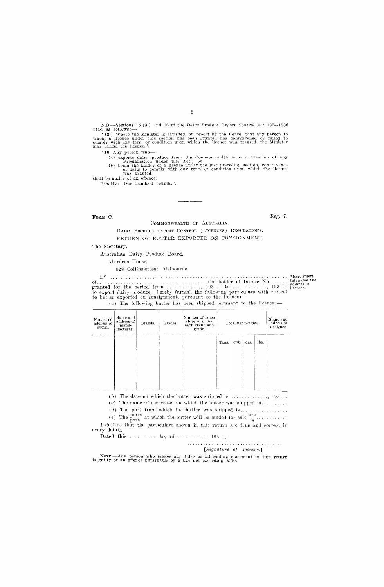N.B.—Sections 15 (3.) and 16 of the *Dairy Produce Export Control Act* 1924-1936 read as follows :—<br>
"(3.) Where the Minister is satisfied, on report by the Board, that any person to whom a Heence under this section has b

" 16. Any person who—

(a) exports dairy produce from the Commonwealth in contravention of any Proclamation under this Act; or<br>(b) being the holder of a licence under the last preceding section, contravenes<br>or falls to comply with any term or co

shall be guilty of an offence. Penalty : One hundred pounds.".

FORM  $C$ . Reg. 7.

COMMONWEALTH OF AUSTRALIA.

DAIRY PRODUCE EXPORT CONTROL (LICENCES) REGULATIONS. RETURN OF BUTTER EXPORTED ON CONSIGNMENT.

The Secretary,

Australian Dairy Produce Board,

Aberdeen House,

528 Collins-street, Melbourne.

\*Here insert of the holder of licence No. Tun name and r, address of granted for the period from , 193. to 5 19 a • • • licensee. to export dairy produce, hereby furnish the following particulars with respect to butter exported on consignment, pursuant to the licence:—

(a) The following butter has been shipped pursuant to the licence:—

| Name and<br>address of<br>owner. | Name and<br>address of<br>manu-<br>facturer. | Brands. | Grades. | Number of boxes<br>shipped under<br>each brand and<br>grade. | Total net weight. |      |      |      | Name and<br>address of<br>consignee. |
|----------------------------------|----------------------------------------------|---------|---------|--------------------------------------------------------------|-------------------|------|------|------|--------------------------------------|
|                                  |                                              |         |         |                                                              | Tons.             | cwt. | qrs. | lbs. |                                      |
|                                  |                                              |         |         |                                                              |                   |      |      |      |                                      |
|                                  |                                              |         |         |                                                              |                   |      |      |      |                                      |

 $(b)$  The date on which the butter was shipped is  $\dots\dots\dots\dots\dots$  193...

 $(c)$  The name of the vessel on which the butter was shipped is.........

 $(d)$  The port from which the butter was shipped is

(e) The  $\frac{\text{porus}}{\text{port}}$  at which the butter will be land I declare that the particulars shown in this return are true and correct in every detail.

Dated this  $\dots \dots \dots \dots$  day of  $\dots \dots \dots$ , 193...

*[Signature of licensee.]* 

Note.—Any person who makes any false or misleading statement in this return is guilty of an offence punishable by a fine not exceeding £50.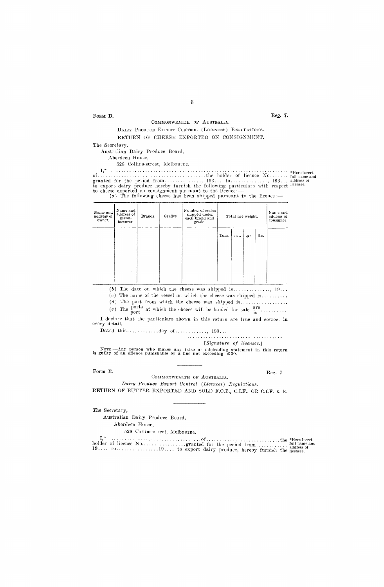#### COMMONWEALTH OF AUSTRALIA.

6

#### DAIRY PRODUCE EXPORT CONTROL (LICENCES) REGULATIONS. RETURN OF CHEESE EXPORTED ON CONSIGNMENT.

The Secretary,

Australian Dairy Produce Board,

Aberdeen House,

628 Collins-street, Melbourne.

I,\* \*Here insert of the holder of licence No. full name and granted for the period from , 193... to , address of to export dairy produce hereby furnish the following particulars with respect licensee. licence : — to cheese exported on consignment pursuant to the (a) The following cheese has been shipped pursuant to the licence : —

| Name and<br>address of<br>owner, | Name and<br>address of<br>manu-<br>facturer. | Brands. | Grades. | Number of crates<br>shipped under<br>each brand and<br>grade. | Total net weight. |      |      |      | Name and<br>address of<br>consignee. |
|----------------------------------|----------------------------------------------|---------|---------|---------------------------------------------------------------|-------------------|------|------|------|--------------------------------------|
|                                  |                                              |         |         |                                                               | Tons.             | cwt. | qrs. | lbs. |                                      |
|                                  |                                              |         |         |                                                               |                   |      |      |      |                                      |

(b) The date on which the cheese was shit ped is , 19...

 $(c)$  The name of the vessel on which the cheese was shipped is.........

 $(d)$  The port from which the cheese was shipped is..................

(e) The ports at which the cheese will be landed for sale  $\frac{are}{is}$ 

I declare that the particulars shown in this return are true and correct in every detail.

Dated this  $\dots \dots \dots$  day of  $\dots \dots \dots$ , 193...

*[gignature of licensee.]* 

NOTE.—Any person who makes any false or misleading statement in this return is guilty of an offence punishable by a fine not exceeding £50.

#### Form E.

Reg. *7* 

COMMONWEALTH OF AUSTRALIA. *Dairy Produce Export Control (Licences) Regulations.* 

RETURN OF BUTTER EXPORTED AND, SOLD F.O.B., C.I.F., OR C.I.F. & E.

The Secretary,

Australian Dairy Produce Board, Aberdeen House,

528 Collins-street, Melbourne.

I," of the •Here insert holder of licence No granted for the period from full name and address of 19 to 19. to export dairy produce, hereby furnish the licensee.

#### FORM D.  $\begin{array}{c} \text{Reg. 7.} \end{array}$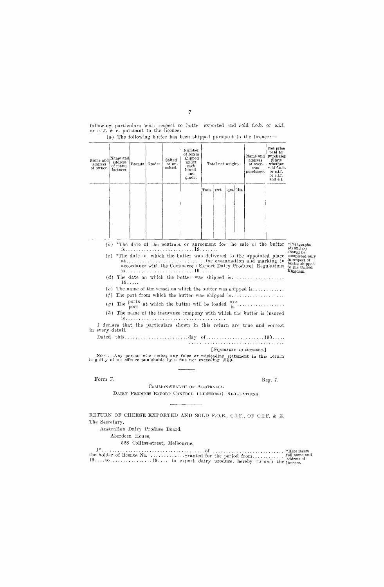|                                                                                                                                                                                                                           |                                              |    |                 |                             |                                                                               |            |                   |  |           | $(a)$ The following butter has been shipped pursuant to the licence:        |                                                                                                              |                                                                               |
|---------------------------------------------------------------------------------------------------------------------------------------------------------------------------------------------------------------------------|----------------------------------------------|----|-----------------|-----------------------------|-------------------------------------------------------------------------------|------------|-------------------|--|-----------|-----------------------------------------------------------------------------|--------------------------------------------------------------------------------------------------------------|-------------------------------------------------------------------------------|
| Name and<br>address<br>of owner.                                                                                                                                                                                          | Name and<br>address<br>of manu-<br>facturer. |    | Brands. Grades. | Salted<br>or un-<br>salted. | Number<br>of boxes<br>shipped<br>under<br>each<br>brand<br>and<br>grade.      |            | Total net weight. |  |           | Name and<br>address<br>of over-<br>seas<br>purchaser.                       | Net price<br>paid by<br>purchaser<br>(State)<br>whether<br>sold f.o.b.<br>or c.i.f.<br>or c.i.f.<br>and e.). |                                                                               |
|                                                                                                                                                                                                                           |                                              |    |                 |                             |                                                                               | Tons. ewt. |                   |  | qrs. Ibs. |                                                                             |                                                                                                              |                                                                               |
|                                                                                                                                                                                                                           |                                              |    |                 |                             |                                                                               |            |                   |  |           |                                                                             |                                                                                                              |                                                                               |
|                                                                                                                                                                                                                           |                                              |    |                 |                             |                                                                               |            |                   |  |           |                                                                             |                                                                                                              |                                                                               |
|                                                                                                                                                                                                                           |                                              |    |                 |                             |                                                                               |            |                   |  |           |                                                                             |                                                                                                              |                                                                               |
|                                                                                                                                                                                                                           |                                              |    |                 |                             |                                                                               |            |                   |  |           |                                                                             |                                                                                                              |                                                                               |
|                                                                                                                                                                                                                           |                                              |    |                 |                             |                                                                               |            |                   |  |           |                                                                             |                                                                                                              |                                                                               |
|                                                                                                                                                                                                                           | (b)                                          |    |                 |                             |                                                                               |            |                   |  |           |                                                                             |                                                                                                              | *The date of the contract or agreement for the sale of the butter *Paragraphs |
|                                                                                                                                                                                                                           |                                              |    |                 |                             |                                                                               |            |                   |  |           |                                                                             |                                                                                                              | $(b)$ and $(c)$                                                               |
| should be<br>$(c)$ *The date on which the butter was delivered to the appointed place<br>accordance with the Commerce (Export Dairy Produce) Regulations<br>Kingdom.<br>$(d)$ The date on which the butter was shipped is |                                              |    |                 |                             |                                                                               |            |                   |  |           |                                                                             | completed only<br>in respect of<br>butter shipped<br>to the United                                           |                                                                               |
|                                                                                                                                                                                                                           |                                              | 19 |                 |                             |                                                                               |            |                   |  |           | (e) The name of the vessel on which the butter was shipped is               |                                                                                                              |                                                                               |
|                                                                                                                                                                                                                           | (f)                                          |    |                 |                             |                                                                               |            |                   |  |           | The port from which the butter was shipped is                               |                                                                                                              |                                                                               |
|                                                                                                                                                                                                                           | (g)                                          |    |                 |                             |                                                                               |            |                   |  |           | The ports at which the butter will be loaded $\frac{\text{are}}{\text{is}}$ |                                                                                                              |                                                                               |
|                                                                                                                                                                                                                           |                                              |    |                 |                             |                                                                               |            |                   |  |           | $(h)$ The name of the insurance company with which the butter is insured    |                                                                                                              |                                                                               |
|                                                                                                                                                                                                                           |                                              |    |                 |                             |                                                                               |            |                   |  |           |                                                                             |                                                                                                              |                                                                               |
| in every detail.                                                                                                                                                                                                          |                                              |    |                 |                             |                                                                               |            |                   |  |           | I declare that the particulars shown in this return are true and correct    |                                                                                                              |                                                                               |
|                                                                                                                                                                                                                           |                                              |    |                 |                             |                                                                               |            |                   |  |           |                                                                             |                                                                                                              |                                                                               |
|                                                                                                                                                                                                                           |                                              |    |                 |                             |                                                                               |            |                   |  |           | [Signature of licensee.]                                                    |                                                                                                              |                                                                               |
|                                                                                                                                                                                                                           |                                              |    |                 |                             |                                                                               |            |                   |  |           | NOTE.—Any person who makes any false or misleading statement in this return |                                                                                                              |                                                                               |
|                                                                                                                                                                                                                           |                                              |    |                 |                             | is guilty of an offence punishable by a fine not exceeding $\mathfrak{L}50$ . |            |                   |  |           |                                                                             |                                                                                                              |                                                                               |
|                                                                                                                                                                                                                           |                                              |    |                 |                             |                                                                               |            |                   |  |           |                                                                             |                                                                                                              |                                                                               |
| Form F.                                                                                                                                                                                                                   |                                              |    |                 |                             |                                                                               |            |                   |  |           |                                                                             | Reg. 7.                                                                                                      |                                                                               |

following particulars with respect to butter exported and sold f.o.b. or c.i.f. or c.i.f. & e. pursuant to the licence:

#### COMMONWEALTH OF AUSTRALIA. DAIRY PRODUCE EXPORT CONTROL (LICENCES) REGULATIONS.

RETURN OF CHEESE EXPORTED AND SOLD F.O.B., C.I.F., OF C.I.F. & E. The Secretary,

Australian Dairy Produce Board,

Aberdeen House,

528 Collins-street, Melbourne.

of \*Here insert the holder of licence No granted for the period from full name and 19. . to address of 19. to export dairy produce, hereby furnish the licensee.